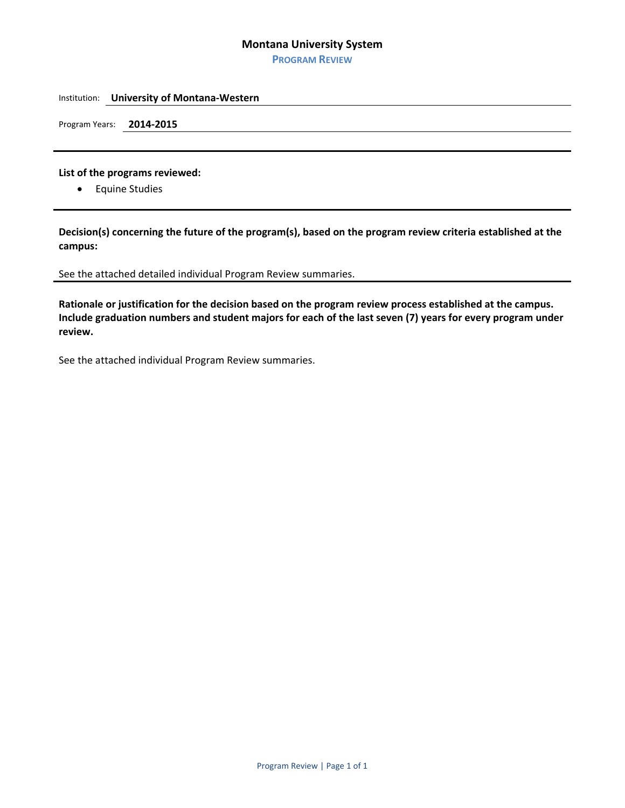## **Montana University System**

**PROGRAM REVIEW**

#### Institution: **University of Montana‐Western**

Program Years: **2014‐2015**

### **List of the programs reviewed:**

**•** Equine Studies

**Decision(s) concerning the future of the program(s), based on the program review criteria established at the campus:**

### See the attached detailed individual Program Review summaries.

Rationale or justification for the decision based on the program review process established at the campus. Include graduation numbers and student majors for each of the last seven (7) years for every program under **review.**

See the attached individual Program Review summaries.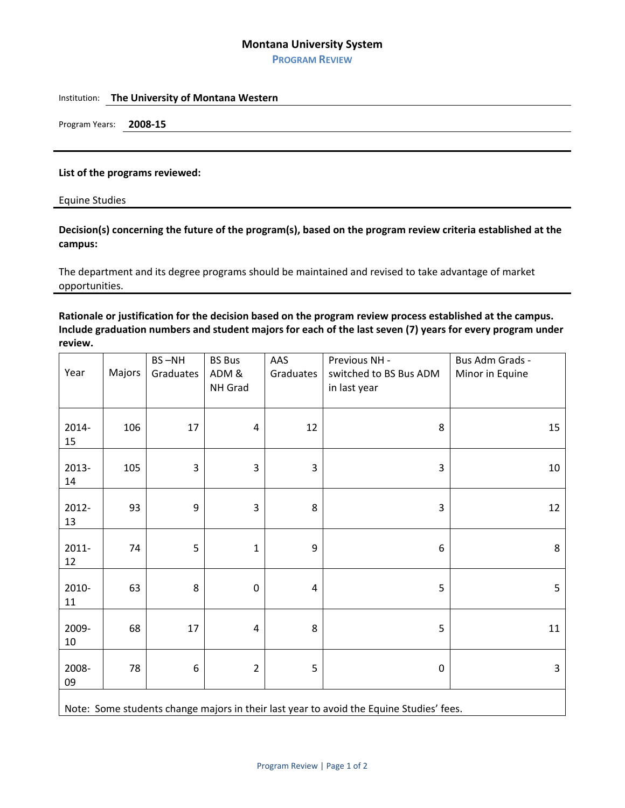## **Montana University System**

**PROGRAM REVIEW**

## Institution: **The University of Montana Western**

Program Years: **2008‐15**

#### **List of the programs reviewed:**

Equine Studies

# **Decision(s) concerning the future of the program(s), based on the program review criteria established at the campus:**

The department and its degree programs should be maintained and revised to take advantage of market opportunities.

Rationale or justification for the decision based on the program review process established at the campus. Include graduation numbers and student majors for each of the last seven (7) years for every program under **review.**

| Year                                                                                    | Majors | BS-NH<br>Graduates      | <b>BS Bus</b><br>ADM &<br>NH Grad | AAS<br>Graduates | Previous NH -<br>switched to BS Bus ADM<br>in last year | Bus Adm Grads -<br>Minor in Equine |
|-----------------------------------------------------------------------------------------|--------|-------------------------|-----------------------------------|------------------|---------------------------------------------------------|------------------------------------|
| 2014-<br>15                                                                             | 106    | 17                      | $\overline{4}$                    | 12               | 8                                                       | 15                                 |
| 2013-<br>14                                                                             | 105    | $\overline{\mathbf{3}}$ | 3                                 | $\mathbf{3}$     | $\mathsf 3$                                             | 10                                 |
| 2012-<br>13                                                                             | 93     | 9                       | 3                                 | 8                | 3                                                       | 12                                 |
| 2011-<br>12                                                                             | 74     | 5                       | $\mathbf{1}$                      | 9                | 6                                                       | 8                                  |
| 2010-<br>11                                                                             | 63     | 8                       | $\pmb{0}$                         | 4                | 5                                                       | 5                                  |
| 2009-<br>10                                                                             | 68     | 17                      | $\overline{4}$                    | 8                | 5                                                       | 11                                 |
| 2008-<br>09                                                                             | 78     | $\,6\,$                 | $\overline{2}$                    | 5                | $\mathbf 0$                                             | 3                                  |
| Note: Some students change majors in their last year to avoid the Equine Studies' fees. |        |                         |                                   |                  |                                                         |                                    |